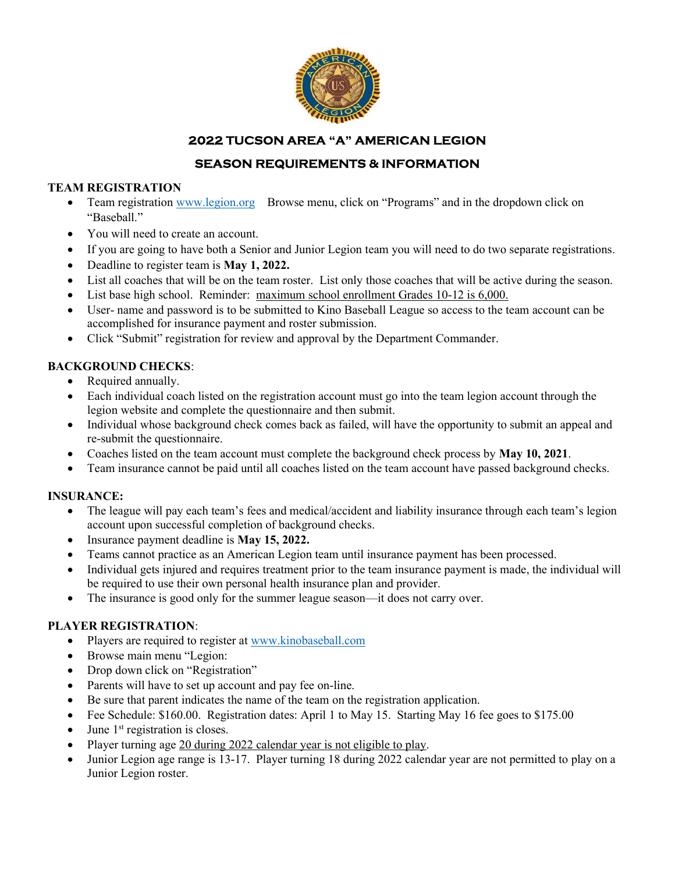

# 2022 TUCSON AREA "A" AMERICAN LEGION

# SEASON REQUIREMENTS & INFORMATION

#### TEAM REGISTRATION

- Team registration www.legion.org Browse menu, click on "Programs" and in the dropdown click on "Baseball."
- You will need to create an account.
- If you are going to have both a Senior and Junior Legion team you will need to do two separate registrations.
- Deadline to register team is May 1, 2022.
- List all coaches that will be on the team roster. List only those coaches that will be active during the season.
- List base high school. Reminder: maximum school enrollment Grades 10-12 is 6,000.
- User- name and password is to be submitted to Kino Baseball League so access to the team account can be accomplished for insurance payment and roster submission.
- Click "Submit" registration for review and approval by the Department Commander.

## BACKGROUND CHECKS:

- Required annually.
- Each individual coach listed on the registration account must go into the team legion account through the legion website and complete the questionnaire and then submit.
- Individual whose background check comes back as failed, will have the opportunity to submit an appeal and re-submit the questionnaire.
- Coaches listed on the team account must complete the background check process by May 10, 2021.
- Team insurance cannot be paid until all coaches listed on the team account have passed background checks.

#### INSURANCE:

- The league will pay each team's fees and medical/accident and liability insurance through each team's legion account upon successful completion of background checks.
- Insurance payment deadline is May 15, 2022.
- Teams cannot practice as an American Legion team until insurance payment has been processed.
- Individual gets injured and requires treatment prior to the team insurance payment is made, the individual will be required to use their own personal health insurance plan and provider.
- The insurance is good only for the summer league season—it does not carry over.

#### PLAYER REGISTRATION:

- Players are required to register at www.kinobaseball.com
- Browse main menu "Legion:
- Drop down click on "Registration"
- Parents will have to set up account and pay fee on-line.
- Be sure that parent indicates the name of the team on the registration application.
- Fee Schedule: \$160.00. Registration dates: April 1 to May 15. Starting May 16 fee goes to \$175.00
- $\bullet$  June 1<sup>st</sup> registration is closes.
- Player turning age 20 during 2022 calendar year is not eligible to play.
- Junior Legion age range is 13-17. Player turning 18 during 2022 calendar year are not permitted to play on a Junior Legion roster.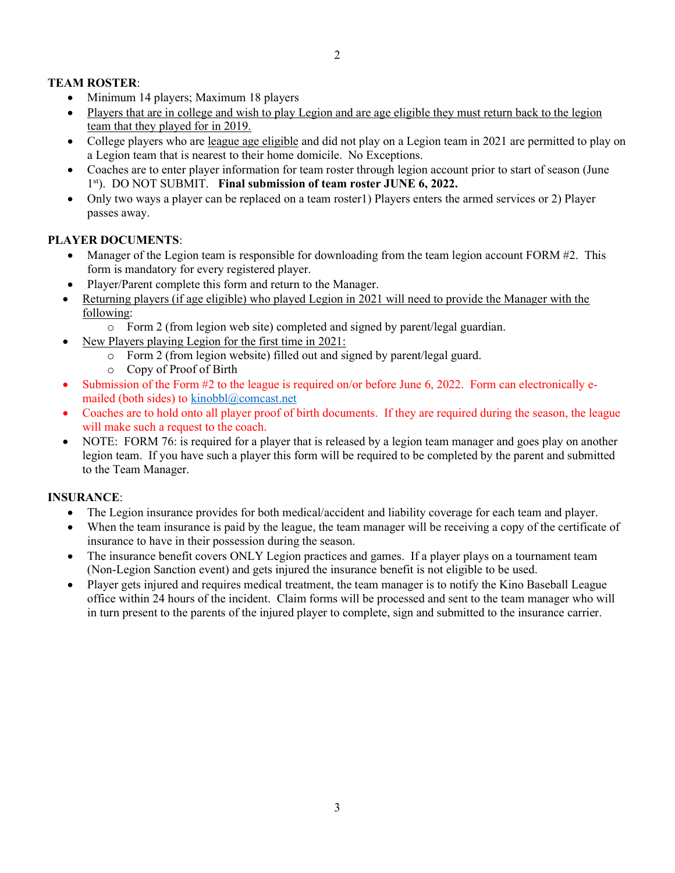# TEAM ROSTER:

- Minimum 14 players; Maximum 18 players
- Players that are in college and wish to play Legion and are age eligible they must return back to the legion team that they played for in 2019.
- College players who are league age eligible and did not play on a Legion team in 2021 are permitted to play on a Legion team that is nearest to their home domicile. No Exceptions.
- Coaches are to enter player information for team roster through legion account prior to start of season (June 1<sup>st</sup>). DO NOT SUBMIT. Final submission of team roster JUNE 6, 2022.
- Only two ways a player can be replaced on a team roster1) Players enters the armed services or 2) Player passes away.

## PLAYER DOCUMENTS:

- Manager of the Legion team is responsible for downloading from the team legion account FORM #2. This form is mandatory for every registered player.
- Player/Parent complete this form and return to the Manager.
- Returning players (if age eligible) who played Legion in 2021 will need to provide the Manager with the following:
	- o Form 2 (from legion web site) completed and signed by parent/legal guardian.
- New Players playing Legion for the first time in 2021:
	- o Form 2 (from legion website) filled out and signed by parent/legal guard.
	- o Copy of Proof of Birth
- Submission of the Form #2 to the league is required on/or before June 6, 2022. Form can electronically emailed (both sides) to  $kinobbl@connect.net$
- Coaches are to hold onto all player proof of birth documents. If they are required during the season, the league will make such a request to the coach.
- NOTE: FORM 76: is required for a player that is released by a legion team manager and goes play on another legion team. If you have such a player this form will be required to be completed by the parent and submitted to the Team Manager.

#### INSURANCE:

- The Legion insurance provides for both medical/accident and liability coverage for each team and player.
- When the team insurance is paid by the league, the team manager will be receiving a copy of the certificate of insurance to have in their possession during the season.
- The insurance benefit covers ONLY Legion practices and games. If a player plays on a tournament team (Non-Legion Sanction event) and gets injured the insurance benefit is not eligible to be used.
- Player gets injured and requires medical treatment, the team manager is to notify the Kino Baseball League office within 24 hours of the incident. Claim forms will be processed and sent to the team manager who will in turn present to the parents of the injured player to complete, sign and submitted to the insurance carrier.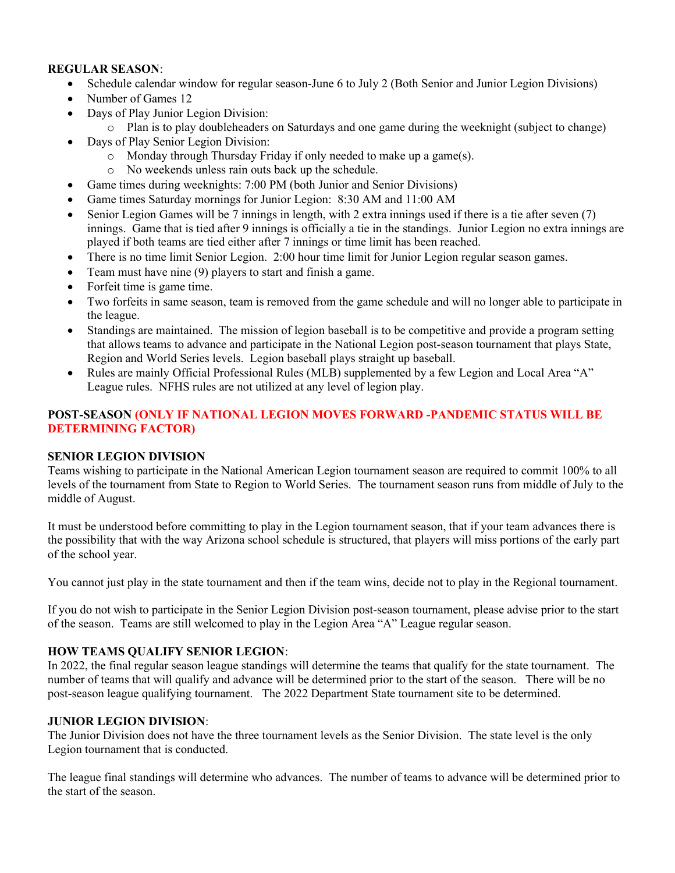#### REGULAR SEASON:

- Schedule calendar window for regular season-June 6 to July 2 (Both Senior and Junior Legion Divisions)
- Number of Games 12
- Days of Play Junior Legion Division:
	- o Plan is to play doubleheaders on Saturdays and one game during the weeknight (subject to change)
- Days of Play Senior Legion Division:
	- o Monday through Thursday Friday if only needed to make up a game(s).
	- o No weekends unless rain outs back up the schedule.
- Game times during weeknights: 7:00 PM (both Junior and Senior Divisions)
- Game times Saturday mornings for Junior Legion: 8:30 AM and 11:00 AM
- Senior Legion Games will be 7 innings in length, with 2 extra innings used if there is a tie after seven (7) innings. Game that is tied after 9 innings is officially a tie in the standings. Junior Legion no extra innings are played if both teams are tied either after 7 innings or time limit has been reached.
- There is no time limit Senior Legion. 2:00 hour time limit for Junior Legion regular season games.
- Team must have nine (9) players to start and finish a game.
- Forfeit time is game time.
- Two forfeits in same season, team is removed from the game schedule and will no longer able to participate in the league.
- Standings are maintained. The mission of legion baseball is to be competitive and provide a program setting that allows teams to advance and participate in the National Legion post-season tournament that plays State, Region and World Series levels. Legion baseball plays straight up baseball.
- Rules are mainly Official Professional Rules (MLB) supplemented by a few Legion and Local Area "A" League rules. NFHS rules are not utilized at any level of legion play.

#### POST-SEASON (ONLY IF NATIONAL LEGION MOVES FORWARD -PANDEMIC STATUS WILL BE DETERMINING FACTOR)

#### SENIOR LEGION DIVISION

Teams wishing to participate in the National American Legion tournament season are required to commit 100% to all levels of the tournament from State to Region to World Series. The tournament season runs from middle of July to the middle of August.

It must be understood before committing to play in the Legion tournament season, that if your team advances there is the possibility that with the way Arizona school schedule is structured, that players will miss portions of the early part of the school year.

You cannot just play in the state tournament and then if the team wins, decide not to play in the Regional tournament.

If you do not wish to participate in the Senior Legion Division post-season tournament, please advise prior to the start of the season. Teams are still welcomed to play in the Legion Area "A" League regular season.

#### HOW TEAMS QUALIFY SENIOR LEGION:

In 2022, the final regular season league standings will determine the teams that qualify for the state tournament. The number of teams that will qualify and advance will be determined prior to the start of the season. There will be no post-season league qualifying tournament. The 2022 Department State tournament site to be determined.

#### JUNIOR LEGION DIVISION:

The Junior Division does not have the three tournament levels as the Senior Division. The state level is the only Legion tournament that is conducted.

The league final standings will determine who advances. The number of teams to advance will be determined prior to the start of the season.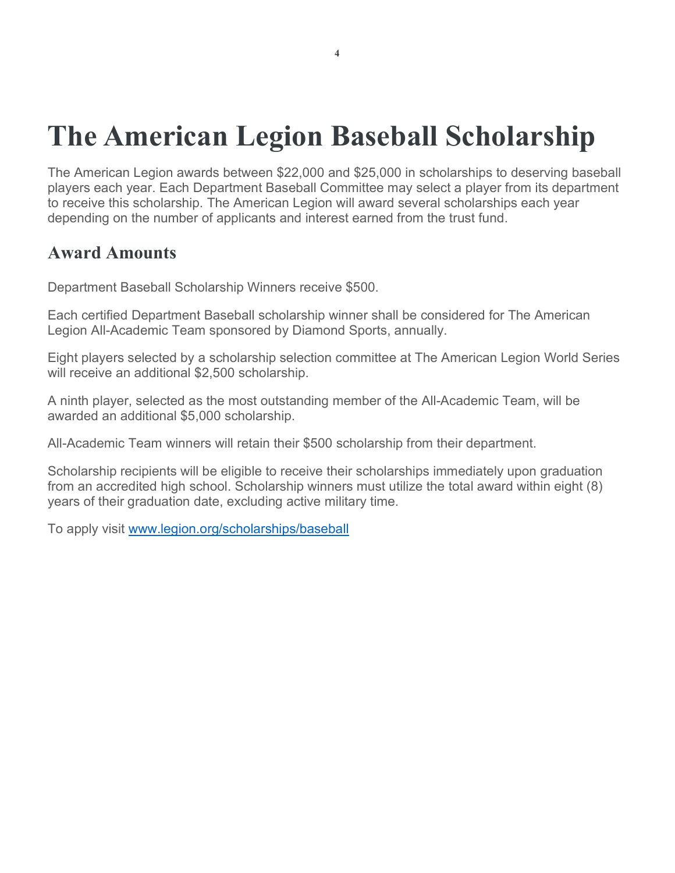# The American Legion Baseball Scholarship

The American Legion awards between \$22,000 and \$25,000 in scholarships to deserving baseball players each year. Each Department Baseball Committee may select a player from its department to receive this scholarship. The American Legion will award several scholarships each year depending on the number of applicants and interest earned from the trust fund.

# Award Amounts

Department Baseball Scholarship Winners receive \$500.

Each certified Department Baseball scholarship winner shall be considered for The American Legion All-Academic Team sponsored by Diamond Sports, annually.

Eight players selected by a scholarship selection committee at The American Legion World Series will receive an additional \$2,500 scholarship.

A ninth player, selected as the most outstanding member of the All-Academic Team, will be awarded an additional \$5,000 scholarship.

All-Academic Team winners will retain their \$500 scholarship from their department.

Scholarship recipients will be eligible to receive their scholarships immediately upon graduation from an accredited high school. Scholarship winners must utilize the total award within eight (8) years of their graduation date, excluding active military time.

To apply visit www.legion.org/scholarships/baseball